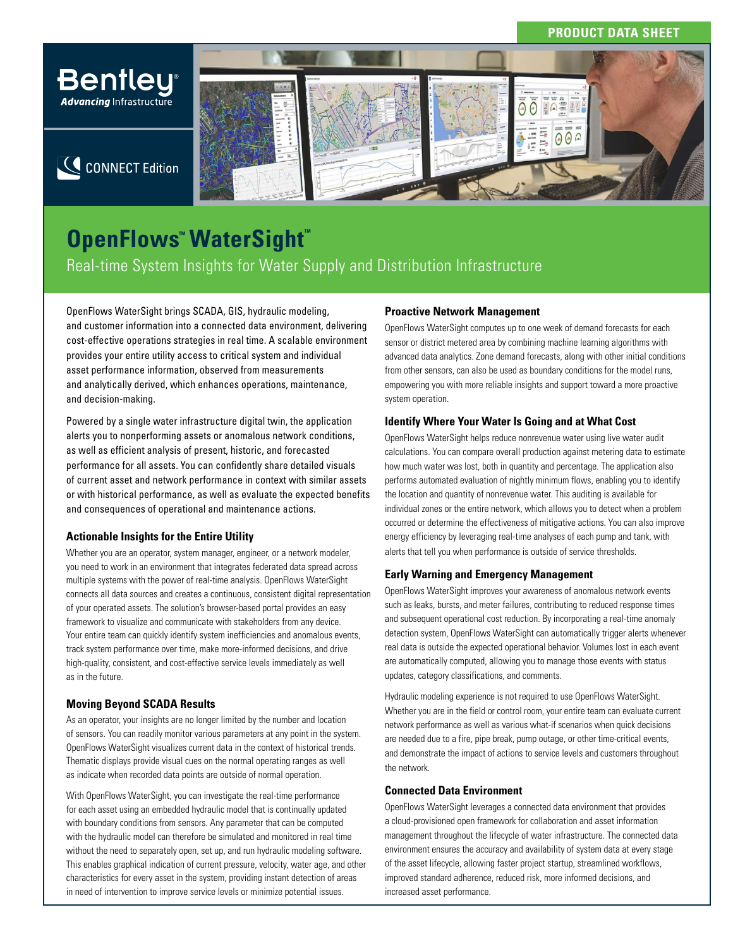# **PRODUCT DATA SHEET**



# **OpenFlows™ WaterSight™** Real-time System Insights for Water Supply and Distribution Infrastructure

OpenFlows WaterSight brings SCADA, GIS, hydraulic modeling, and customer information into a connected data environment, delivering cost-effective operations strategies in real time. A scalable environment provides your entire utility access to critical system and individual asset performance information, observed from measurements and analytically derived, which enhances operations, maintenance, and decision-making.

Powered by a single water infrastructure digital twin, the application alerts you to nonperforming assets or anomalous network conditions, as well as efficient analysis of present, historic, and forecasted performance for all assets. You can confidently share detailed visuals of current asset and network performance in context with similar assets or with historical performance, as well as evaluate the expected benefits and consequences of operational and maintenance actions.

# **Actionable Insights for the Entire Utility**

Whether you are an operator, system manager, engineer, or a network modeler, you need to work in an environment that integrates federated data spread across multiple systems with the power of real-time analysis. OpenFlows WaterSight connects all data sources and creates a continuous, consistent digital representation of your operated assets. The solution's browser-based portal provides an easy framework to visualize and communicate with stakeholders from any device. Your entire team can quickly identify system inefficiencies and anomalous events, track system performance over time, make more-informed decisions, and drive high-quality, consistent, and cost-effective service levels immediately as well as in the future.

# **Moving Beyond SCADA Results**

As an operator, your insights are no longer limited by the number and location of sensors. You can readily monitor various parameters at any point in the system. OpenFlows WaterSight visualizes current data in the context of historical trends. Thematic displays provide visual cues on the normal operating ranges as well as indicate when recorded data points are outside of normal operation.

With OpenFlows WaterSight, you can investigate the real-time performance for each asset using an embedded hydraulic model that is continually updated with boundary conditions from sensors. Any parameter that can be computed with the hydraulic model can therefore be simulated and monitored in real time without the need to separately open, set up, and run hydraulic modeling software. This enables graphical indication of current pressure, velocity, water age, and other characteristics for every asset in the system, providing instant detection of areas in need of intervention to improve service levels or minimize potential issues.

# **Proactive Network Management**

OpenFlows WaterSight computes up to one week of demand forecasts for each sensor or district metered area by combining machine learning algorithms with advanced data analytics. Zone demand forecasts, along with other initial conditions from other sensors, can also be used as boundary conditions for the model runs, empowering you with more reliable insights and support toward a more proactive system operation.

# **Identify Where Your Water Is Going and at What Cost**

OpenFlows WaterSight helps reduce nonrevenue water using live water audit calculations. You can compare overall production against metering data to estimate how much water was lost, both in quantity and percentage. The application also performs automated evaluation of nightly minimum flows, enabling you to identify the location and quantity of nonrevenue water. This auditing is available for individual zones or the entire network, which allows you to detect when a problem occurred or determine the effectiveness of mitigative actions. You can also improve energy efficiency by leveraging real-time analyses of each pump and tank, with alerts that tell you when performance is outside of service thresholds.

# **Early Warning and Emergency Management**

OpenFlows WaterSight improves your awareness of anomalous network events such as leaks, bursts, and meter failures, contributing to reduced response times and subsequent operational cost reduction. By incorporating a real-time anomaly detection system, OpenFlows WaterSight can automatically trigger alerts whenever real data is outside the expected operational behavior. Volumes lost in each event are automatically computed, allowing you to manage those events with status updates, category classifications, and comments.

Hydraulic modeling experience is not required to use OpenFlows WaterSight. Whether you are in the field or control room, your entire team can evaluate current network performance as well as various what-if scenarios when quick decisions are needed due to a fire, pipe break, pump outage, or other time-critical events, and demonstrate the impact of actions to service levels and customers throughout the network.

# **Connected Data Environment**

OpenFlows WaterSight leverages a connected data environment that provides a cloud-provisioned open framework for collaboration and asset information management throughout the lifecycle of water infrastructure. The connected data environment ensures the accuracy and availability of system data at every stage of the asset lifecycle, allowing faster project startup, streamlined workflows, improved standard adherence, reduced risk, more informed decisions, and increased asset performance.